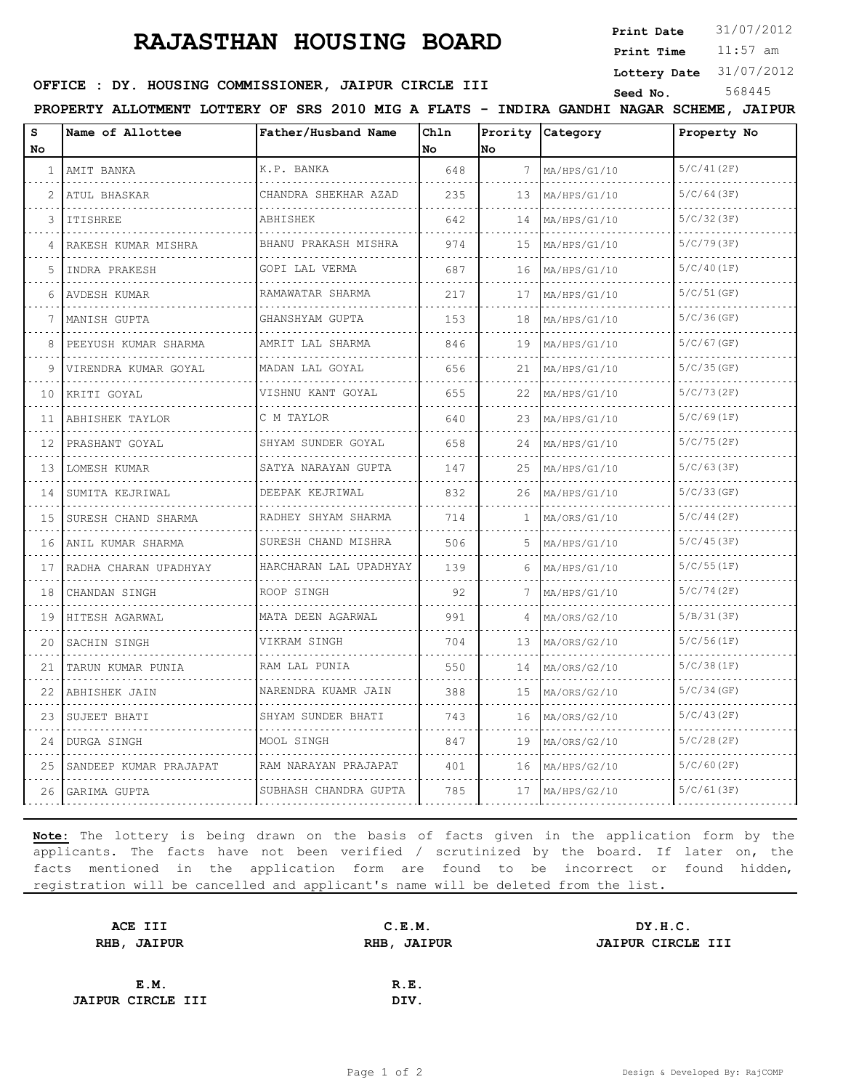## **RAJASTHAN HOUSING BOARD**

**Print Date**  $31/07/2012$ 

11:57 am **Print Time**

**Lottery Date** 31/07/2012

## **OFFICE : DY. HOUSING COMMISSIONER, JAIPUR CIRCLE III** Seed No. 568445

**PROPERTY ALLOTMENT LOTTERY OF SRS 2010 MIG A FLATS - INDIRA GANDHI NAGAR SCHEME, JAIPUR**

| s            | Name of Allottee         | Father/Husband Name          | Chln |                 | Prority Category | Property No   |
|--------------|--------------------------|------------------------------|------|-----------------|------------------|---------------|
| No           |                          |                              | No   | No              |                  |               |
| $\mathbf{1}$ | AMIT BANKA               | K.P. BANKA                   | 648  | 7               | MA/HPS/G1/10     | 5/C/41(2F)    |
| 2            | ATUL BHASKAR             | CHANDRA SHEKHAR AZAD         | 235  | 13 <sup>°</sup> | MA/HPS/G1/10     | 5/C/64(3F)    |
| 3            | <b>ITISHREE</b>          | ABHISHEK                     | 642  | 14              | MA/HPS/G1/10     | 5/C/32(3F)    |
| 4            | RAKESH KUMAR MISHRA      | BHANU PRAKASH MISHRA         | 974  | 15              | MA/HPS/G1/10     | 5/C/79(3F)    |
| 5            | INDRA PRAKESH            | GOPI LAL VERMA               | 687  | 16              | MA/HPS/G1/10     | 5/C/40(1F)    |
| 6            | AVDESH KUMAR             | RAMAWATAR SHARMA<br><u>.</u> | 217  | 17              | MA/HPS/G1/10     | 5/C/51(GF)    |
| 7            | MANISH GUPTA             | GHANSHYAM GUPTA              | 153  | 18              | MA/HPS/G1/10     | 5/C/36(GF)    |
| 8            | PEEYUSH KUMAR SHARMA     | AMRIT LAL SHARMA             | 846  | 19              | MA/HPS/G1/10     | $5/C/67$ (GF) |
| 9            | VIRENDRA KUMAR GOYAL     | MADAN LAL GOYAL              | 656  | 21              | MA/HPS/G1/10     | 5/C/35(GF)    |
| 10           | KRITI GOYAL              | VISHNU KANT GOYAL            | 655  | 22              | MA/HPS/G1/10     | 5/C/73(2F)    |
| 11           | ABHISHEK TAYLOR          | C M TAYLOR                   | 640  | 23              | MA/HPS/G1/10     | 5/C/69(1F)    |
| 12           | PRASHANT GOYAL           | SHYAM SUNDER GOYAL<br>.      | 658  | 24              | MA/HPS/G1/10     | 5/C/75(2F)    |
| 13           | LOMESH KUMAR             | SATYA NARAYAN GUPTA          | 147  | 25              | MA/HPS/G1/10     | 5/C/63(3F)    |
| 14           | SUMITA KEJRIWAL          | DEEPAK KEJRIWAL              | 832  | 26              | MA/HPS/G1/10     | 5/C/33(GF)    |
| 15           | SURESH CHAND SHARMA<br>. | RADHEY SHYAM SHARMA<br>.     | 714  | $\mathbf{1}$    | MA/ORS/G1/10     | 5/C/44(2F)    |
| 16           | ANIL KUMAR SHARMA        | SURESH CHAND MISHRA          | 506  | 5               | MA/HPS/G1/10     | 5/C/45(3F)    |
| 17           | RADHA CHARAN UPADHYAY    | HARCHARAN LAL UPADHYAY       | 139  | 6               | MA/HPS/G1/10     | 5/C/55(1F)    |
| 18           | CHANDAN SINGH<br>.       | ROOP SINGH                   | 92   | 7               | MA/HPS/G1/10     | 5/C/74(2F)    |
| 19           | HITESH AGARWAL           | MATA DEEN AGARWAL            | 991  | 4               | MA/ORS/G2/10     | 5/B/31(3F)    |
| 20           | SACHIN SINGH             | VIKRAM SINGH                 | 704  | 13              | MA/ORS/G2/10     | 5/C/56(1F)    |
| 21           | TARUN KUMAR PUNIA        | RAM LAL PUNIA                | 550  | 14              | MA/ORS/G2/10     | 5/C/38(1F)    |
| 22           | ABHISHEK JAIN            | NARENDRA KUAMR JAIN          | 388  | 15              | MA/ORS/G2/10     | 5/C/34(GF)    |
| 23           | SUJEET BHATI             | SHYAM SUNDER BHATI           | 743  | 16              | MA/ORS/G2/10     | 5/C/43(2F)    |
| 24           | DURGA SINGH              | MOOL SINGH                   | 847  | 19              | MA/ORS/G2/10     | 5/C/28(2F)    |
| 25           | SANDEEP KUMAR PRAJAPAT   | RAM NARAYAN PRAJAPAT         | 401  | 16              | MA/HPS/G2/10     | $5/C/60$ (2F) |
| 26           | GARIMA GUPTA             | SUBHASH CHANDRA GUPTA        | 785  | 17              | MA/HPS/G2/10     | 5/C/61(3F)    |

**Note:** The lottery is being drawn on the basis of facts given in the application form by the applicants. The facts have not been verified / scrutinized by the board. If later on, the facts mentioned in the application form are found to be incorrect or found hidden, registration will be cancelled and applicant's name will be deleted from the list.

| C.E.M.      | DY.H.C.           |
|-------------|-------------------|
| RHB, JAIPUR | JAIPUR CIRCLE III |
|             |                   |
| R.E.        |                   |
| DIV.        |                   |
|             |                   |